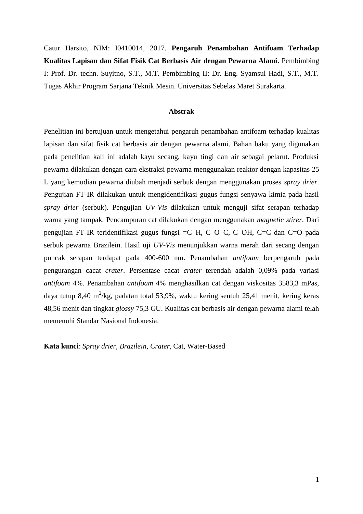Catur Harsito, NIM: I0410014, 2017. **Pengaruh Penambahan Antifoam Terhadap Kualitas Lapisan dan Sifat Fisik Cat Berbasis Air dengan Pewarna Alami**. Pembimbing I: Prof. Dr. techn. Suyitno, S.T., M.T. Pembimbing II: Dr. Eng. Syamsul Hadi, S.T., M.T. Tugas Akhir Program Sarjana Teknik Mesin. Universitas Sebelas Maret Surakarta.

## **Abstrak**

Penelitian ini bertujuan untuk mengetahui pengaruh penambahan antifoam terhadap kualitas lapisan dan sifat fisik cat berbasis air dengan pewarna alami. Bahan baku yang digunakan pada penelitian kali ini adalah kayu secang, kayu tingi dan air sebagai pelarut. Produksi pewarna dilakukan dengan cara ekstraksi pewarna menggunakan reaktor dengan kapasitas 25 L yang kemudian pewarna diubah menjadi serbuk dengan menggunakan proses *spray drier.*  Pengujian FT-IR dilakukan untuk mengidentifikasi gugus fungsi senyawa kimia pada hasil *spray drier* (serbuk). Pengujian *UV-Vis* dilakukan untuk menguji sifat serapan terhadap warna yang tampak. Pencampuran cat dilakukan dengan menggunakan *magnetic stirer*. Dari pengujian FT-IR teridentifikasi gugus fungsi =C–H, C–O–C, C–OH, C=C dan C=O pada serbuk pewarna Brazilein. Hasil uji *UV-Vis* menunjukkan warna merah dari secang dengan puncak serapan terdapat pada 400-600 nm. Penambahan *antifoam* berpengaruh pada pengurangan cacat *crater*. Persentase cacat *crater* terendah adalah 0,09% pada variasi *antifoam* 4%. Penambahan *antifoam* 4% menghasilkan cat dengan viskositas 3583,3 mPas, daya tutup 8,40 m<sup>2</sup>/kg, padatan total 53,9%, waktu kering sentuh 25,41 menit, kering keras 48,56 menit dan tingkat *glossy* 75,3 GU. Kualitas cat berbasis air dengan pewarna alami telah memenuhi Standar Nasional Indonesia.

**Kata kunci**: *Spray drier, Brazilein, Crater*, Cat, Water-Based